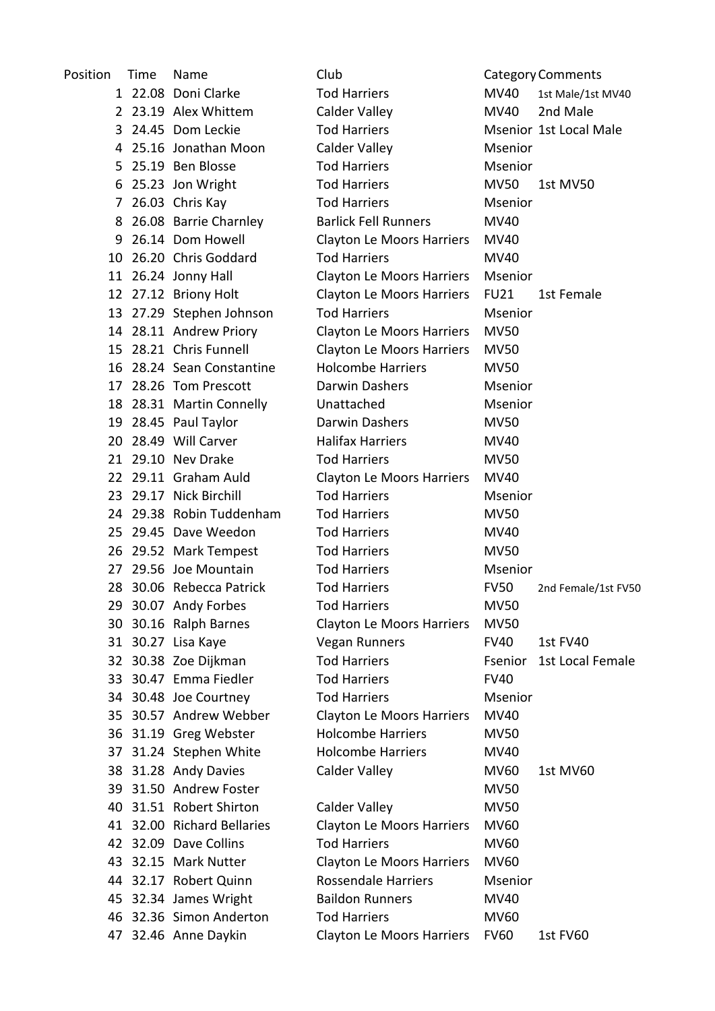| Position | Time | Name                       | Club                             |             | <b>Category Comments</b> |
|----------|------|----------------------------|----------------------------------|-------------|--------------------------|
|          |      | 1 22.08 Doni Clarke        | <b>Tod Harriers</b>              | MV40        | 1st Male/1st MV40        |
|          |      | 2 23.19 Alex Whittem       | Calder Valley                    | <b>MV40</b> | 2nd Male                 |
|          |      | 3 24.45 Dom Leckie         | <b>Tod Harriers</b>              |             | Msenior 1st Local Male   |
|          |      | 4 25.16 Jonathan Moon      | Calder Valley                    | Msenior     |                          |
|          |      | 5 25.19 Ben Blosse         | <b>Tod Harriers</b>              | Msenior     |                          |
| 6        |      | 25.23 Jon Wright           | <b>Tod Harriers</b>              | <b>MV50</b> | 1st MV50                 |
|          |      | 7 26.03 Chris Kay          | <b>Tod Harriers</b>              | Msenior     |                          |
| 8        |      | 26.08 Barrie Charnley      | <b>Barlick Fell Runners</b>      | <b>MV40</b> |                          |
|          |      | 9 26.14 Dom Howell         | <b>Clayton Le Moors Harriers</b> | MV40        |                          |
|          |      | 10 26.20 Chris Goddard     | <b>Tod Harriers</b>              | MV40        |                          |
|          |      | 11 26.24 Jonny Hall        | <b>Clayton Le Moors Harriers</b> | Msenior     |                          |
|          |      | 12 27.12 Briony Holt       | <b>Clayton Le Moors Harriers</b> | <b>FU21</b> | 1st Female               |
|          |      | 13 27.29 Stephen Johnson   | <b>Tod Harriers</b>              | Msenior     |                          |
|          |      | 14 28.11 Andrew Priory     | <b>Clayton Le Moors Harriers</b> | <b>MV50</b> |                          |
|          |      | 15 28.21 Chris Funnell     | <b>Clayton Le Moors Harriers</b> | <b>MV50</b> |                          |
|          |      | 16 28.24 Sean Constantine  | <b>Holcombe Harriers</b>         | <b>MV50</b> |                          |
|          |      | 17 28.26 Tom Prescott      | Darwin Dashers                   | Msenior     |                          |
|          |      | 18 28.31 Martin Connelly   | Unattached                       | Msenior     |                          |
|          |      | 19 28.45 Paul Taylor       | Darwin Dashers                   | <b>MV50</b> |                          |
|          |      | 20 28.49 Will Carver       | <b>Halifax Harriers</b>          | MV40        |                          |
|          |      | 21 29.10 Nev Drake         | <b>Tod Harriers</b>              | <b>MV50</b> |                          |
|          |      | 22 29.11 Graham Auld       | <b>Clayton Le Moors Harriers</b> | MV40        |                          |
|          |      | 23 29.17 Nick Birchill     | <b>Tod Harriers</b>              | Msenior     |                          |
|          |      | 24 29.38 Robin Tuddenham   | <b>Tod Harriers</b>              | <b>MV50</b> |                          |
|          |      | 25 29.45 Dave Weedon       | <b>Tod Harriers</b>              | MV40        |                          |
|          |      | 26 29.52 Mark Tempest      | <b>Tod Harriers</b>              | <b>MV50</b> |                          |
|          |      | 27 29.56 Joe Mountain      | <b>Tod Harriers</b>              | Msenior     |                          |
|          |      | 28 30.06 Rebecca Patrick   | <b>Tod Harriers</b>              | <b>FV50</b> | 2nd Female/1st FV50      |
|          |      | 29 30.07 Andy Forbes       | <b>Tod Harriers</b>              | <b>MV50</b> |                          |
|          |      | 30 30.16 Ralph Barnes      | <b>Clayton Le Moors Harriers</b> | <b>MV50</b> |                          |
|          |      | 31 30.27 Lisa Kaye         | <b>Vegan Runners</b>             | <b>FV40</b> | 1st FV40                 |
|          |      | 32 30.38 Zoe Dijkman       | <b>Tod Harriers</b>              | Fsenior     | 1st Local Female         |
|          |      | 33 30.47 Emma Fiedler      | <b>Tod Harriers</b>              | <b>FV40</b> |                          |
|          |      | 34 30.48 Joe Courtney      | <b>Tod Harriers</b>              | Msenior     |                          |
|          |      | 35 30.57 Andrew Webber     | <b>Clayton Le Moors Harriers</b> | MV40        |                          |
|          |      | 36 31.19 Greg Webster      | <b>Holcombe Harriers</b>         | <b>MV50</b> |                          |
|          |      | 37 31.24 Stephen White     | <b>Holcombe Harriers</b>         | MV40        |                          |
|          |      | 38 31.28 Andy Davies       | Calder Valley                    | <b>MV60</b> | 1st MV60                 |
|          |      | 39 31.50 Andrew Foster     |                                  | <b>MV50</b> |                          |
|          |      | 40 31.51 Robert Shirton    | Calder Valley                    | <b>MV50</b> |                          |
|          |      | 41 32.00 Richard Bellaries | <b>Clayton Le Moors Harriers</b> | MV60        |                          |
|          |      | 42 32.09 Dave Collins      | <b>Tod Harriers</b>              | <b>MV60</b> |                          |
|          |      | 43 32.15 Mark Nutter       | <b>Clayton Le Moors Harriers</b> | <b>MV60</b> |                          |
|          |      | 44 32.17 Robert Quinn      | <b>Rossendale Harriers</b>       | Msenior     |                          |
|          |      | 45 32.34 James Wright      | <b>Baildon Runners</b>           | MV40        |                          |
|          |      | 46 32.36 Simon Anderton    | <b>Tod Harriers</b>              | <b>MV60</b> |                          |
|          |      | 47 32.46 Anne Daykin       | <b>Clayton Le Moors Harriers</b> | <b>FV60</b> | 1st FV60                 |
|          |      |                            |                                  |             |                          |